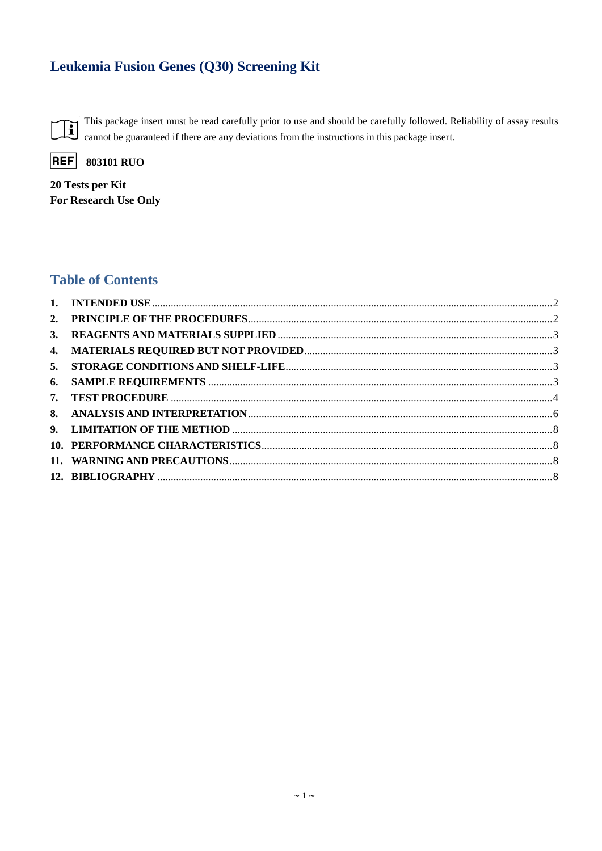# Leukemia Fusion Genes (Q30) Screening Kit

This package insert must be read carefully prior to use and should be carefully followed. Reliability of assay results  $\mathbf{E}$ cannot be guaranteed if there are any deviations from the instructions in this package insert.

**REF** 

**803101 RUO** 

20 Tests per Kit For Research Use Only

## **Table of Contents**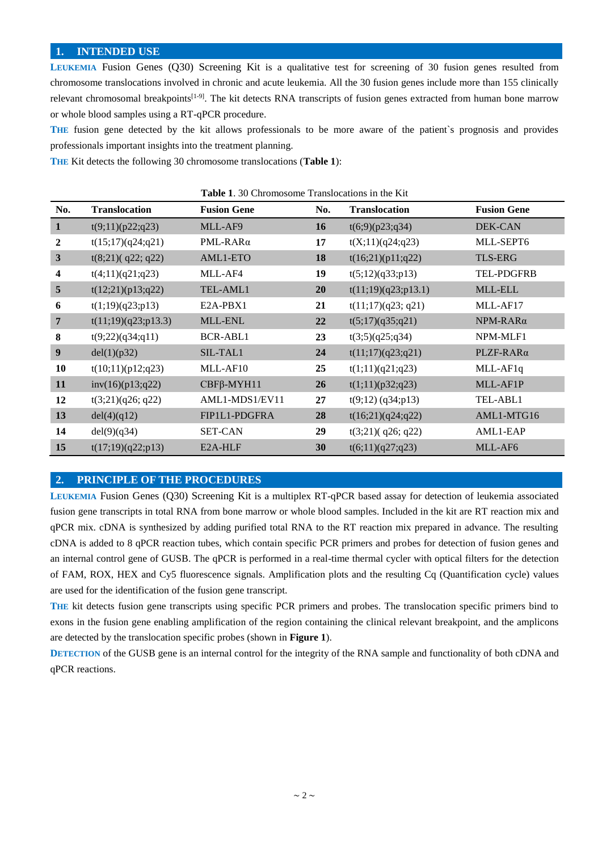#### <span id="page-1-0"></span>**1. INTENDED USE**

**LEUKEMIA** Fusion Genes (Q30) Screening Kit is a qualitative test for screening of 30 fusion genes resulted from chromosome translocations involved in chronic and acute leukemia. All the 30 fusion genes include more than 155 clinically relevant chromosomal breakpoints<sup>[1-9]</sup>. The kit detects RNA transcripts of fusion genes extracted from human bone marrow or whole blood samples using a RT-qPCR procedure.

**THE** fusion gene detected by the kit allows professionals to be more aware of the patient`s prognosis and provides professionals important insights into the treatment planning.

**THE** Kit detects the following 30 chromosome translocations (**Table 1**):

|                  | <b>Table 1.</b> 30 CHIOHOSOIIIC Transfocations in the Kit |                    |     |                      |                      |
|------------------|-----------------------------------------------------------|--------------------|-----|----------------------|----------------------|
| No.              | <b>Translocation</b>                                      | <b>Fusion Gene</b> | No. | <b>Translocation</b> | <b>Fusion Gene</b>   |
| $\mathbf{1}$     | t(9;11)(p22;q23)                                          | MLL-AF9            | 16  | t(6,9)(p23;q34)      | DEK-CAN              |
| 2                | t(15;17)(q24;q21)                                         | $PML-RAR\alpha$    | 17  | t(X;11)(q24;q23)     | MLL-SEPT6            |
| $\mathbf{3}$     | $t(8;21)$ (q22; q22)                                      | AML1-ETO           | 18  | t(16;21)(p11;q22)    | <b>TLS-ERG</b>       |
| 4                | t(4;11)(q21;q23)                                          | MLL-AF4            | 19  | t(5;12)(q33;p13)     | TEL-PDGFRB           |
| 5                | t(12;21)(p13;q22)                                         | TEL-AML1           | 20  | t(11;19)(q23;p13.1)  | MLL-ELL              |
| 6                | t(1;19)(q23;p13)                                          | E2A-PBX1           | 21  | t(11;17)(q23; q21)   | MLL-AF17             |
| $\overline{7}$   | t(11;19)(q23;p13.3)                                       | MLL-ENL            | 22  | t(5;17)(q35;q21)     | $NPM-RAR\alpha$      |
| 8                | t(9;22)(q34;q11)                                          | <b>BCR-ABL1</b>    | 23  | t(3;5)(q25;q34)      | NPM-MLF1             |
| $\boldsymbol{9}$ | del(1)(p32)                                               | SIL-TAL1           | 24  | t(11;17)(q23;q21)    | PLZF-RARa            |
| 10               | t(10;11)(p12;q23)                                         | MLL-AF10           | 25  | t(1;11)(q21;q23)     | MLL-AF <sub>1q</sub> |
| 11               | inv(16)(p13;q22)                                          | $CBF\beta-MYH11$   | 26  | t(1;11)(p32;q23)     | MLL-AF1P             |
| 12               | t(3;21)(q26; q22)                                         | AML1-MDS1/EV11     | 27  | $t(9;12)$ (q34;p13)  | TEL-ABL1             |
| 13               | del(4)(q12)                                               | FIP1L1-PDGFRA      | 28  | t(16;21)(q24;q22)    | AML1-MTG16           |
| 14               | del(9)(q34)                                               | <b>SET-CAN</b>     | 29  | $t(3;21)$ (q26; q22) | AML1-EAP             |
| 15               | t(17;19)(q22;p13)                                         | E2A-HLF            | 30  | t(6;11)(q27;q23)     | MLL-AF6              |

#### **Table 1**. 30 Chromosome Translocations in the Kit

#### <span id="page-1-1"></span>**2. PRINCIPLE OF THE PROCEDURES**

**LEUKEMIA** Fusion Genes (Q30) Screening Kit is a multiplex RT-qPCR based assay for detection of leukemia associated fusion gene transcripts in total RNA from bone marrow or whole blood samples. Included in the kit are RT reaction mix and qPCR mix. cDNA is synthesized by adding purified total RNA to the RT reaction mix prepared in advance. The resulting cDNA is added to 8 qPCR reaction tubes, which contain specific PCR primers and probes for detection of fusion genes and an internal control gene of GUSB. The qPCR is performed in a real-time thermal cycler with optical filters for the detection of FAM, ROX, HEX and Cy5 fluorescence signals. Amplification plots and the resulting Cq (Quantification cycle) values are used for the identification of the fusion gene transcript.

**THE** kit detects fusion gene transcripts using specific PCR primers and probes. The translocation specific primers bind to exons in the fusion gene enabling amplification of the region containing the clinical relevant breakpoint, and the amplicons are detected by the translocation specific probes (shown in **Figure 1**).

**DETECTION** of the GUSB gene is an internal control for the integrity of the RNA sample and functionality of both cDNA and qPCR reactions.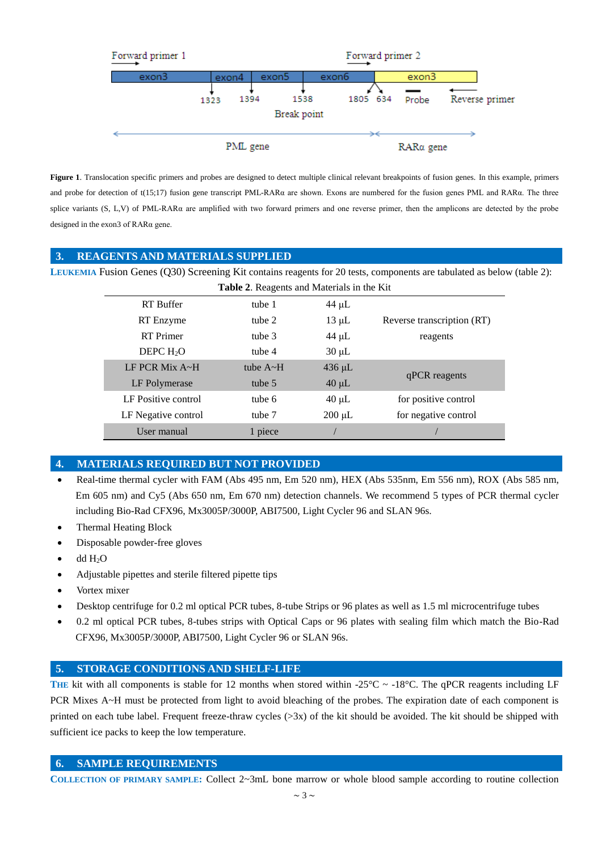

**Figure 1**. Translocation specific primers and probes are designed to detect multiple clinical relevant breakpoints of fusion genes. In this example, primers and probe for detection of t(15;17) fusion gene transcript PML-RARα are shown. Exons are numbered for the fusion genes PML and RARα. The three splice variants (S, L,V) of PML-RARα are amplified with two forward primers and one reverse primer, then the amplicons are detected by the probe designed in the exon3 of RARα gene.

#### <span id="page-2-0"></span>**3. REAGENTS AND MATERIALS SUPPLIED**

LEUKEMIA Fusion Genes (Q30) Screening Kit contains reagents for 20 tests, components are tabulated as below (table 2):

| Table 2. Reagents and Materials in the Kit |                 |             |                            |  |
|--------------------------------------------|-----------------|-------------|----------------------------|--|
| <b>RT</b> Buffer                           | tube 1          | $44 \mu L$  |                            |  |
| RT Enzyme                                  | tube 2          | $13 \mu L$  | Reverse transcription (RT) |  |
| <b>RT</b> Primer                           | tube 3          | $44 \mu L$  | reagents                   |  |
| DEPC $H_2O$                                | tube 4          | $30 \mu L$  |                            |  |
| LF PCR Mix $A \sim H$                      | tube $A \sim H$ | $436 \mu L$ |                            |  |
| LF Polymerase                              | tube 5          | $40 \mu L$  | qPCR reagents              |  |
| LF Positive control                        | tube 6          | $40 \mu L$  | for positive control       |  |
| LF Negative control                        | tube 7          | $200 \mu L$ | for negative control       |  |
| User manual                                | 1 piece         |             |                            |  |

## <span id="page-2-1"></span>**4. MATERIALS REQUIRED BUT NOT PROVIDED**

- Real-time thermal cycler with FAM (Abs 495 nm, Em 520 nm), HEX (Abs 535nm, Em 556 nm), ROX (Abs 585 nm, Em 605 nm) and Cy5 (Abs 650 nm, Em 670 nm) detection channels. We recommend 5 types of PCR thermal cycler including Bio-Rad CFX96, Mx3005P/3000P, ABI7500, Light Cycler 96 and SLAN 96s.
- Thermal Heating Block
- Disposable powder-free gloves
- dd H2O
- Adjustable pipettes and sterile filtered pipette tips
- Vortex mixer
- Desktop centrifuge for 0.2 ml optical PCR tubes, 8-tube Strips or 96 plates as well as 1.5 ml microcentrifuge tubes
- 0.2 ml optical PCR tubes, 8-tubes strips with Optical Caps or 96 plates with sealing film which match the Bio-Rad CFX96, Mx3005P/3000P, ABI7500, Light Cycler 96 or SLAN 96s.

## <span id="page-2-2"></span>**5. STORAGE CONDITIONS AND SHELF-LIFE**

**THE** kit with all components is stable for 12 months when stored within -25 °C ~ -18 °C. The qPCR reagents including LF PCR Mixes A~H must be protected from light to avoid bleaching of the probes. The expiration date of each component is printed on each tube label. Frequent freeze-thraw cycles (>3x) of the kit should be avoided. The kit should be shipped with sufficient ice packs to keep the low temperature.

## <span id="page-2-3"></span>**6. SAMPLE REQUIREMENTS**

**COLLECTION OF PRIMARY SAMPLE:** Collect 2~3mL bone marrow or whole blood sample according to routine collection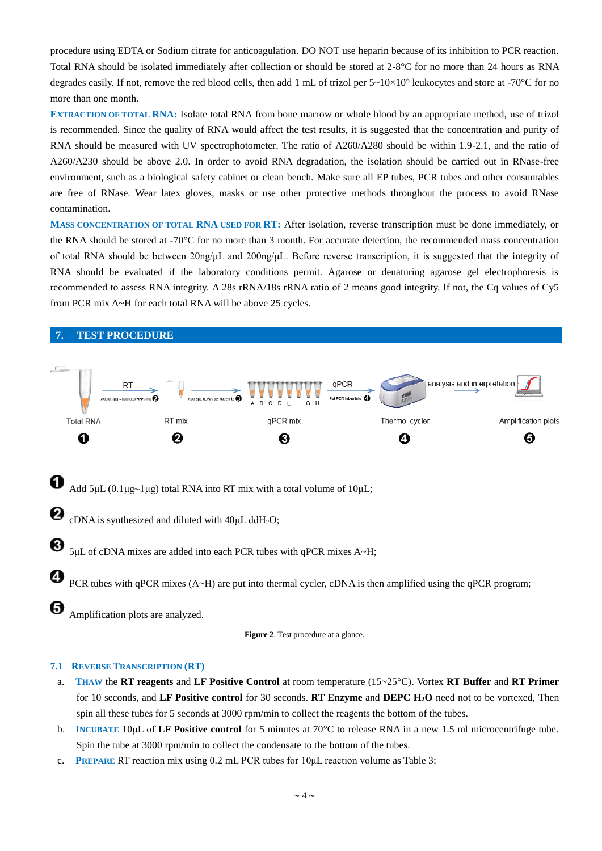procedure using EDTA or Sodium citrate for anticoagulation. DO NOT use heparin because of its inhibition to PCR reaction. Total RNA should be isolated immediately after collection or should be stored at  $2-8$ °C for no more than 24 hours as RNA degrades easily. If not, remove the red blood cells, then add 1 mL of trizol per  $5 \sim 10 \times 10^6$  leukocytes and store at -70 °C for no more than one month.

**EXTRACTION OF TOTAL RNA:** Isolate total RNA from bone marrow or whole blood by an appropriate method, use of trizol is recommended. Since the quality of RNA would affect the test results, it is suggested that the concentration and purity of RNA should be measured with UV spectrophotometer. The ratio of A260/A280 should be within 1.9-2.1, and the ratio of A260/A230 should be above 2.0. In order to avoid RNA degradation, the isolation should be carried out in RNase-free environment, such as a biological safety cabinet or clean bench. Make sure all EP tubes, PCR tubes and other consumables are free of RNase. Wear latex gloves, masks or use other protective methods throughout the process to avoid RNase contamination.

**MASS CONCENTRATION OF TOTAL RNA USED FOR RT:** After isolation, reverse transcription must be done immediately, or the RNA should be stored at -70  $\mathbb C$  for no more than 3 month. For accurate detection, the recommended mass concentration of total RNA should be between 20ng/μL and 200ng/μL. Before reverse transcription, it is suggested that the integrity of RNA should be evaluated if the laboratory conditions permit. Agarose or denaturing agarose gel electrophoresis is recommended to assess RNA integrity. A 28s rRNA/18s rRNA ratio of 2 means good integrity. If not, the Cq values of Cy5 from PCR mix A~H for each total RNA will be above 25 cycles.

<span id="page-3-0"></span>

#### **7.1 REVERSE TRANSCRIPTION (RT)**

- a. **THAW** the **RT reagents** and **LF Positive Control** at room temperature (15~25°C). Vortex **RT Buffer** and **RT Primer**  for 10 seconds, and **LF Positive control** for 30 seconds. **RT Enzyme** and **DEPC H2O** need not to be vortexed, Then spin all these tubes for 5 seconds at 3000 rpm/min to collect the reagents the bottom of the tubes.
- b. **INCUBATE** 10μL of **LF Positive control** for 5 minutes at 70°C to release RNA in a new 1.5 ml microcentrifuge tube. Spin the tube at 3000 rpm/min to collect the condensate to the bottom of the tubes.
- c. **PREPARE** RT reaction mix using 0.2 mL PCR tubes for 10μL reaction volume as Table 3: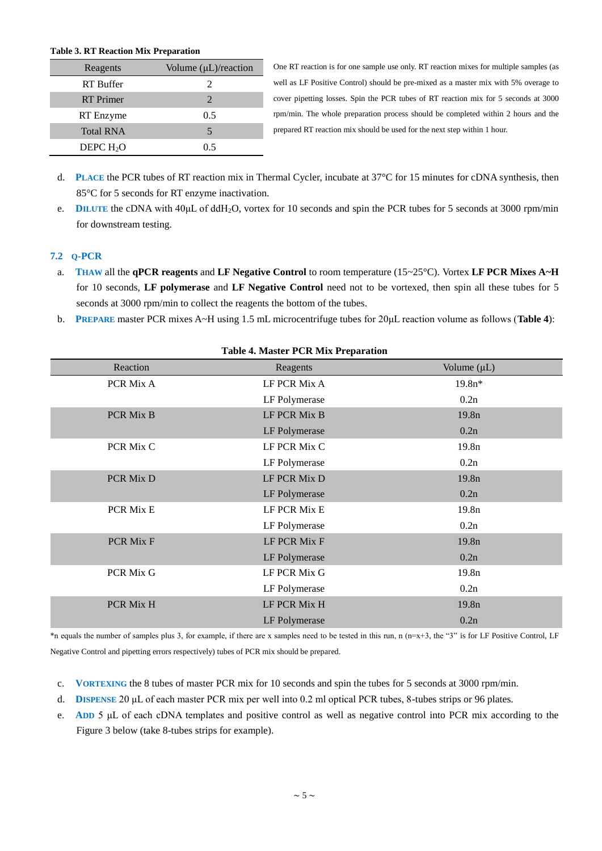#### **Table 3. RT Reaction Mix Preparation**

| Reagents         | Volume $(\mu L)/$ reaction  |
|------------------|-----------------------------|
| <b>RT</b> Buffer | 2                           |
| <b>RT</b> Primer | $\mathcal{D}_{\mathcal{L}}$ |
| RT Enzyme        | 0.5                         |
| <b>Total RNA</b> | 5                           |
| DEPC $H2O$       | 0.5                         |

One RT reaction is for one sample use only. RT reaction mixes for multiple samples (as well as LF Positive Control) should be pre-mixed as a master mix with 5% overage to cover pipetting losses. Spin the PCR tubes of RT reaction mix for 5 seconds at 3000 rpm/min. The whole preparation process should be completed within 2 hours and the prepared RT reaction mix should be used for the next step within 1 hour.

- d. **PLACE** the PCR tubes of RT reaction mix in Thermal Cycler, incubate at 37  $\degree$  for 15 minutes for cDNA synthesis, then 85°C for 5 seconds for RT enzyme inactivation.
- e. **DILUTE** the [cDNA](http://www.bbioo.com/index.php?m=content&c=tag&a=lists&tag=DNA) with 40μL of ddH<sub>2</sub>O, vortex for 10 seconds and spin the PCR tubes for 5 seconds at 3000 rpm/min for downstream testing.

#### **7.2 Q-PCR**

- a. **THAW** all the **qPCR reagents** and **LF Negative Control** to room temperature (15~25°C). Vortex **LF PCR Mixes A~H** for 10 seconds, **LF polymerase** and **LF Negative Control** need not to be vortexed, then spin all these tubes for 5 seconds at 3000 rpm/min to collect the reagents the bottom of the tubes.
- b. **PREPARE** master PCR mixes A~H using 1.5 mL microcentrifuge tubes for 20μL reaction volume as follows (**Table 4**):

| <b>Lavit +.</b> Master 1 CK MIX 1 reparation |               |                   |  |  |
|----------------------------------------------|---------------|-------------------|--|--|
| Reaction                                     | Reagents      | Volume $(\mu L)$  |  |  |
| PCR Mix A                                    | LF PCR Mix A  | $19.8n*$          |  |  |
|                                              | LF Polymerase | 0.2n              |  |  |
| PCR Mix B                                    | LF PCR Mix B  | 19.8 <sub>n</sub> |  |  |
|                                              | LF Polymerase | 0.2n              |  |  |
| PCR Mix C                                    | LF PCR Mix C  | 19.8 <sub>n</sub> |  |  |
|                                              | LF Polymerase | 0.2n              |  |  |
| PCR Mix D                                    | LF PCR Mix D  | 19.8 <sub>n</sub> |  |  |
|                                              | LF Polymerase | 0.2n              |  |  |
| PCR Mix E                                    | LF PCR Mix E  | 19.8n             |  |  |
|                                              | LF Polymerase | 0.2n              |  |  |
| PCR Mix F                                    | LF PCR Mix F  | 19.8 <sub>n</sub> |  |  |
|                                              | LF Polymerase | 0.2n              |  |  |
| PCR Mix G                                    | LF PCR Mix G  | 19.8 <sub>n</sub> |  |  |
|                                              | LF Polymerase | 0.2n              |  |  |
| PCR Mix H                                    | LF PCR Mix H  | 19.8 <sub>n</sub> |  |  |
|                                              | LF Polymerase | 0.2n              |  |  |

## **Table 4. Master PCR Mix Preparation**

\*n equals the number of samples plus 3, for example, if there are x samples need to be tested in this run, n (n=x+3, the "3" is for LF Positive Control, LF Negative Control and pipetting errors respectively) tubes of PCR mix should be prepared.

- c. **VORTEXING** the 8 tubes of master PCR mix for 10 seconds and spin the tubes for 5 seconds at 3000 rpm/min.
- d. **DISPENSE** 20 μL of each master PCR mix per well into 0.2 ml optical PCR tubes, 8-tubes strips or 96 plates.
- e. **ADD** 5 μL of each cDNA templates and positive control as well as negative control into PCR mix according to the Figure 3 below (take 8-tubes strips for example).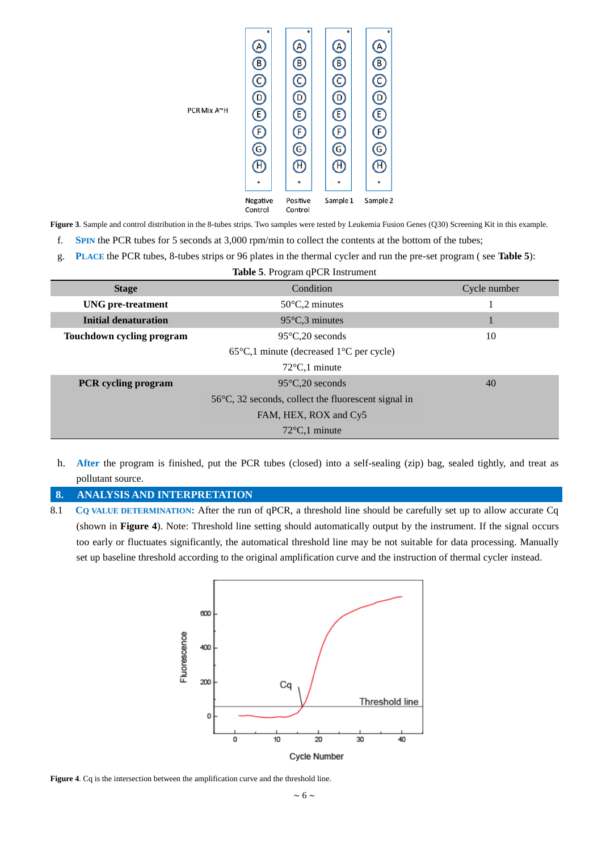

**Figure 3**. Sample and control distribution in the 8-tubes strips. Two samples were tested by Leukemia Fusion Genes (Q30) Screening Kit in this example.

- f. **SPIN** the PCR tubes for 5 seconds at 3,000 rpm/min to collect the contents at the bottom of the tubes;
- g. **PLACE** the PCR tubes, 8-tubes strips or 96 plates in the thermal cycler and run the pre-set program ( see **Table 5**):

| <b>Table 5. Program qPCR Instrument</b>                  |                                                                 |    |  |  |
|----------------------------------------------------------|-----------------------------------------------------------------|----|--|--|
| <b>Stage</b>                                             | Cycle number                                                    |    |  |  |
| $50 \text{ C}$ , 2 minutes<br>UNG pre-treatment          |                                                                 |    |  |  |
| Initial denaturation<br>95 $C3$ minutes                  |                                                                 | 1  |  |  |
| Touchdown cycling program<br>$95 \text{ C}$ , 20 seconds |                                                                 | 10 |  |  |
|                                                          |                                                                 |    |  |  |
|                                                          | $72 \text{ C}, 1$ minute                                        |    |  |  |
| <b>PCR</b> cycling program                               | $95 \text{ C}, 20$ seconds                                      | 40 |  |  |
|                                                          | 56 $\mathbb{C}$ , 32 seconds, collect the fluorescent signal in |    |  |  |
| FAM, HEX, ROX and Cy5                                    |                                                                 |    |  |  |
|                                                          | $72 \text{ C}$ , minute                                         |    |  |  |

h. **After** the program is finished, put the PCR tubes (closed) into a self-sealing (zip) bag, sealed tightly, and treat as pollutant source.

#### <span id="page-5-0"></span>**8. ANALYSIS AND INTERPRETATION**

8.1 **CQ VALUE DETERMINATION:** After the run of qPCR, a threshold line should be carefully set up to allow accurate Cq (shown in **Figure 4**). Note: Threshold line setting should automatically output by the instrument. If the signal occurs too early or fluctuates significantly, the automatical threshold line may be not suitable for data processing. Manually set up baseline threshold according to the original amplification curve and the instruction of thermal cycler instead.



**Figure 4**. Cq is the intersection between the amplification curve and the threshold line.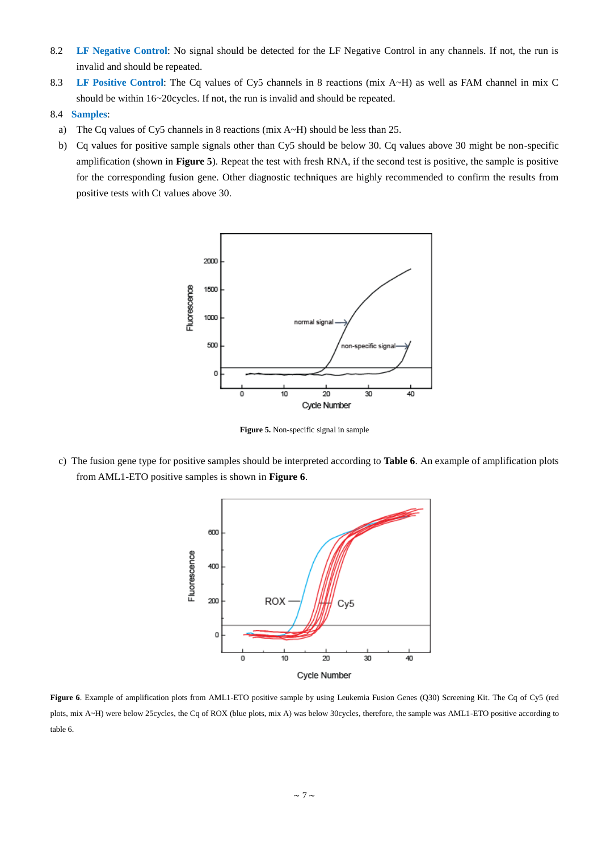- 8.2 **LF Negative Control**: No signal should be detected for the LF Negative Control in any channels. If not, the run is invalid and should be repeated.
- 8.3 **LF Positive Control**: The Cq values of Cy5 channels in 8 reactions (mix A~H) as well as FAM channel in mix C should be within 16~20cycles. If not, the run is invalid and should be repeated.
- 8.4 **Samples**:
	- a) The Cq values of Cy5 channels in 8 reactions (mix  $A \sim H$ ) should be less than 25.
	- b) Cq values for positive sample signals other than Cy5 should be below 30. Cq values above 30 might be non-specific amplification (shown in **Figure 5**). Repeat the test with fresh RNA, if the second test is positive, the sample is positive for the corresponding fusion gene. Other diagnostic techniques are highly recommended to confirm the results from positive tests with Ct values above 30.



**Figure 5.** Non-specific signal in sample

c) The fusion gene type for positive samples should be interpreted according to **Table 6**. An example of amplification plots from AML1-ETO positive samples is shown in **Figure 6**.



Figure 6. Example of amplification plots from AML1-ETO positive sample by using Leukemia Fusion Genes (Q30) Screening Kit. The Cq of Cy5 (red plots, mix A~H) were below 25cycles, the Cq of ROX (blue plots, mix A) was below 30cycles, therefore, the sample was AML1-ETO positive according to table 6.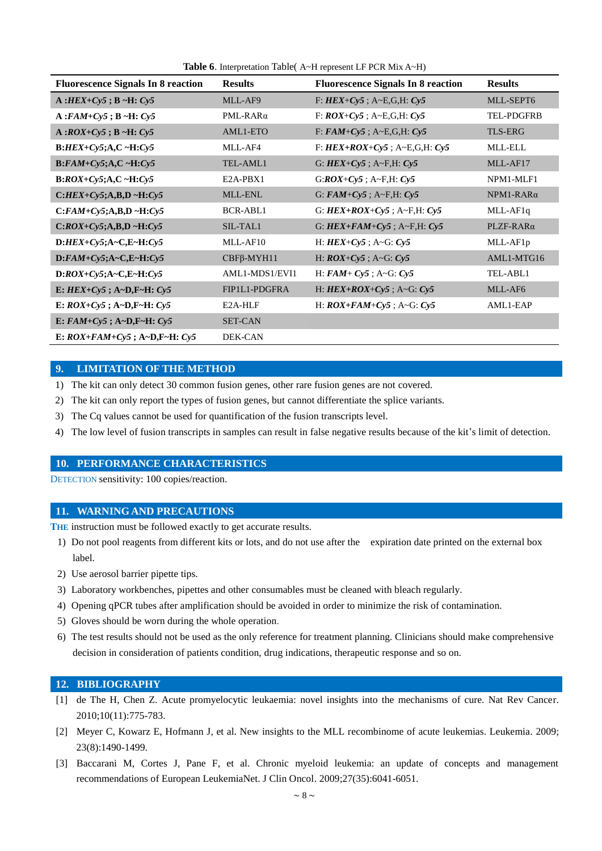| <b>Fluorescence Signals In 8 reaction</b> | <b>Results</b>    | <b>Fluorescence Signals In 8 reaction</b> | <b>Results</b>    |
|-------------------------------------------|-------------------|-------------------------------------------|-------------------|
| $A: HEX+Cy5$ ; $B \sim H: Cy5$            | MLL-AF9           | F: $HEX+Cy5$ ; A~E, G, H: Cy5             | MLL-SEPT6         |
| $A:$ $FAM+Cy5$ ; $B \sim H: Cy5$          | PML-RARα          | F: $ROX+Cy5$ ; A~E,G,H: $Cy5$             | <b>TEL-PDGFRB</b> |
| $A:ROX+Cy5$ ; $B \sim H: Cy5$             | AML1-ETO          | F: $FAM+Cy5$ ; A~E, G, H: $Cy5$           | <b>TLS-ERG</b>    |
| $B: HEX+Cy5; A, C \sim H:Cy5$             | MLL-AF4           | F: $HEX+ROX+Cy5$ ; A~E,G,H: Cy5           | <b>MLL-ELL</b>    |
| $B: FAM+Cy5; A, C \sim H: Cy5$            | TEL-AML1          | G: $HEX+Cy5$ ; A~F,H: $Cy5$               | MLL-AF17          |
| $B:ROX+Cy5; A, C \sim H: Cy5$             | E2A-PBX1          | $G:ROX+Cy5$ ; A~F,H: $Cy5$                | NPM1-MLF1         |
| $C: HEX+Cy5; A, B, D \sim H: Cy5$         | MLL-ENL           | G: $FAM+Cy5$ ; A~F,H: $Cy5$               | $NPM1-RAR\alpha$  |
| $C: FAM+Cy5; A,B,D \sim H:Cy5$            | BCR-ABL1          | G: $HEX+ROX+Cy5$ ; A~F,H: Cy5             | MLL-AF1q          |
| $C:ROX+Cy5;A,B,D \sim H:Cy5$              | SIL-TAL1          | G: $HEX+FAM+Cy5$ ; A~F,H: $Cy5$           | PLZF-RARa         |
| $D: HEX+Cy5; A-C,E-H:Cy5$                 | MLL-AF10          | H: $HEX+Cy5$ ; A~G: $Cy5$                 | MLL-AF1p          |
| $D:$ FAM+Cy5;A~C,E~H:Cy5                  | $CBF\beta$ -MYH11 | H: $ROX+Cy5$ ; A~G: $Cy5$                 | AML1-MTG16        |
| $D:ROX+Cy5; A-C, E-H: Cy5$                | AML1-MDS1/EVI1    | H: $FAM + Cy5$ ; A~G: $Cy5$               | TEL-ABL1          |
| E: $HEX+Cy5$ ; A~D, F~H: Cy5              | FIP1L1-PDGFRA     | H: $HEX+ROX+Cy5$ ; A~G: $Cy5$             | MLL-AF6           |
| E: $ROX+Cy5$ ; A~D,F~H: $Cy5$             | E2A-HLF           | H: $ROX+FAM+Cy5$ ; A~G: $Cy5$             | AML1-EAP          |
| E: $FAM+Cy5$ ; $A~D$ , $F~H$ : $Cy5$      | <b>SET-CAN</b>    |                                           |                   |
| E: $ROX+FAM+Cy5$ ; $A-D, F-H: Cy5$        | DEK-CAN           |                                           |                   |

**Table 6**. Interpretation Table( A~H represent LF PCR Mix A~H)

#### <span id="page-7-0"></span>**9. LIMITATION OF THE METHOD**

- 1) The kit can only detect 30 common fusion genes, other rare fusion genes are not covered.
- 2) The kit can only report the types of fusion genes, but cannot differentiate the splice variants.
- 3) The Cq values cannot be used for quantification of the fusion transcripts level.
- 4) The low level of fusion transcripts in samples can result in false negative results because of the kit's limit of detection.

### <span id="page-7-1"></span>**10. PERFORMANCE CHARACTERISTICS**

DETECTION sensitivity: 100 copies/reaction.

#### <span id="page-7-2"></span>**11. WARNING AND PRECAUTIONS**

THE instruction must be followed exactly to get accurate results.

- 1) Do not pool reagents from different kits or lots, and do not use after the expiration date printed on the external box label.
- 2) Use aerosol barrier pipette tips.
- 3) Laboratory workbenches, pipettes and other [consumables](app:ds:consumables) must be cleaned with bleach regularly.
- 4) Opening qPCR tubes after amplification should be avoided in order to minimize the risk of contamination.
- 5) Gloves should be worn during the whole operation.
- 6) The test results should not be used as the only reference for treatment planning. Clinicians should make comprehensive decision in consideration of patients condition, drug indications, therapeutic response and so on.

#### <span id="page-7-3"></span>**12. BIBLIOGRAPHY**

- [1] de The H, Chen Z. Acute promyelocytic leukaemia: novel insights into the mechanisms of cure. Nat Rev Cancer. 2010;10(11):775-783.
- [2] Meyer C, Kowarz E, Hofmann J, et al. New insights to the MLL recombinome of acute leukemias. Leukemia. 2009; 23(8):1490-1499.
- [3] Baccarani M, Cortes J, Pane F, et al. Chronic myeloid leukemia: an update of concepts and management recommendations of European LeukemiaNet. J Clin Oncol. 2009;27(35):6041-6051.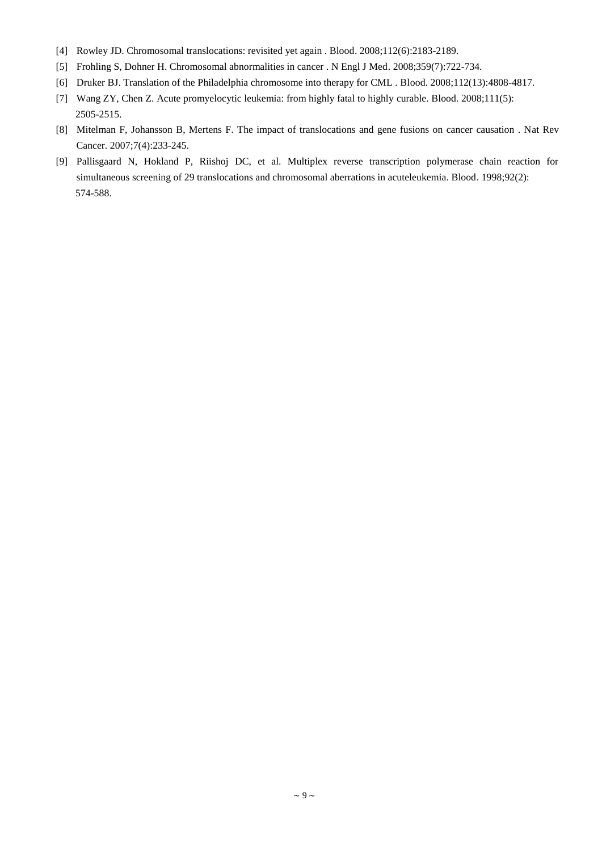- [4] Rowley JD. Chromosomal translocations: revisited yet again . Blood. 2008;112(6):2183-2189.
- [5] Frohling S, Dohner H. Chromosomal abnormalities in cancer . N Engl J Med. 2008;359(7):722-734.
- [6] Druker BJ. Translation of the Philadelphia chromosome into therapy for CML . Blood. 2008;112(13):4808-4817.
- [7] Wang ZY, Chen Z. Acute promyelocytic leukemia: from highly fatal to highly curable. Blood. 2008;111(5): 2505-2515.
- [8] Mitelman F, Johansson B, Mertens F. The impact of translocations and gene fusions on cancer causation . Nat Rev Cancer. 2007;7(4):233-245.
- [9] Pallisgaard N, Hokland P, Riishoj DC, et al. Multiplex reverse transcription polymerase chain reaction for simultaneous screening of 29 translocations and chromosomal aberrations in acuteleukemia. Blood. 1998;92(2): 574-588.